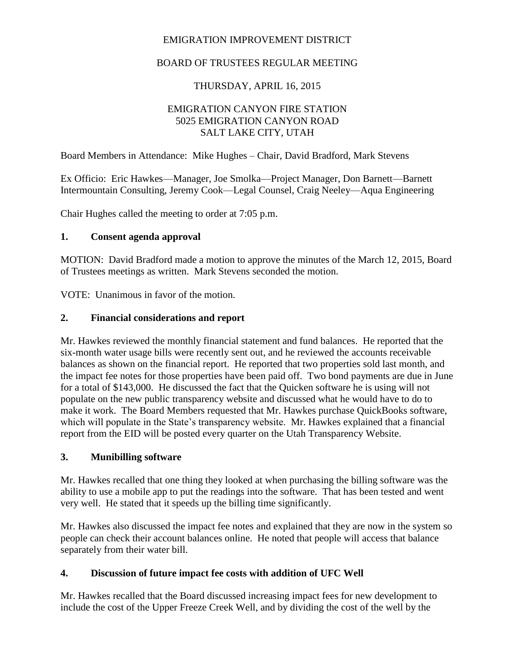# EMIGRATION IMPROVEMENT DISTRICT

# BOARD OF TRUSTEES REGULAR MEETING

# THURSDAY, APRIL 16, 2015

### EMIGRATION CANYON FIRE STATION 5025 EMIGRATION CANYON ROAD SALT LAKE CITY, UTAH

Board Members in Attendance: Mike Hughes – Chair, David Bradford, Mark Stevens

Ex Officio: Eric Hawkes—Manager, Joe Smolka—Project Manager, Don Barnett—Barnett Intermountain Consulting, Jeremy Cook—Legal Counsel, Craig Neeley—Aqua Engineering

Chair Hughes called the meeting to order at 7:05 p.m.

#### **1. Consent agenda approval**

MOTION: David Bradford made a motion to approve the minutes of the March 12, 2015, Board of Trustees meetings as written. Mark Stevens seconded the motion.

VOTE: Unanimous in favor of the motion.

#### **2. Financial considerations and report**

Mr. Hawkes reviewed the monthly financial statement and fund balances. He reported that the six-month water usage bills were recently sent out, and he reviewed the accounts receivable balances as shown on the financial report. He reported that two properties sold last month, and the impact fee notes for those properties have been paid off. Two bond payments are due in June for a total of \$143,000. He discussed the fact that the Quicken software he is using will not populate on the new public transparency website and discussed what he would have to do to make it work. The Board Members requested that Mr. Hawkes purchase QuickBooks software, which will populate in the State's transparency website. Mr. Hawkes explained that a financial report from the EID will be posted every quarter on the Utah Transparency Website.

#### **3. Munibilling software**

Mr. Hawkes recalled that one thing they looked at when purchasing the billing software was the ability to use a mobile app to put the readings into the software. That has been tested and went very well. He stated that it speeds up the billing time significantly.

Mr. Hawkes also discussed the impact fee notes and explained that they are now in the system so people can check their account balances online. He noted that people will access that balance separately from their water bill.

### **4. Discussion of future impact fee costs with addition of UFC Well**

Mr. Hawkes recalled that the Board discussed increasing impact fees for new development to include the cost of the Upper Freeze Creek Well, and by dividing the cost of the well by the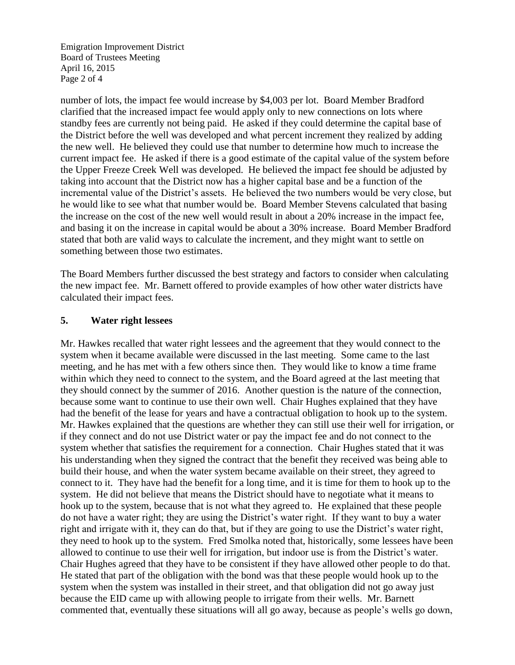Emigration Improvement District Board of Trustees Meeting April 16, 2015 Page 2 of 4

number of lots, the impact fee would increase by \$4,003 per lot. Board Member Bradford clarified that the increased impact fee would apply only to new connections on lots where standby fees are currently not being paid. He asked if they could determine the capital base of the District before the well was developed and what percent increment they realized by adding the new well. He believed they could use that number to determine how much to increase the current impact fee. He asked if there is a good estimate of the capital value of the system before the Upper Freeze Creek Well was developed. He believed the impact fee should be adjusted by taking into account that the District now has a higher capital base and be a function of the incremental value of the District's assets. He believed the two numbers would be very close, but he would like to see what that number would be. Board Member Stevens calculated that basing the increase on the cost of the new well would result in about a 20% increase in the impact fee, and basing it on the increase in capital would be about a 30% increase. Board Member Bradford stated that both are valid ways to calculate the increment, and they might want to settle on something between those two estimates.

The Board Members further discussed the best strategy and factors to consider when calculating the new impact fee. Mr. Barnett offered to provide examples of how other water districts have calculated their impact fees.

#### **5. Water right lessees**

Mr. Hawkes recalled that water right lessees and the agreement that they would connect to the system when it became available were discussed in the last meeting. Some came to the last meeting, and he has met with a few others since then. They would like to know a time frame within which they need to connect to the system, and the Board agreed at the last meeting that they should connect by the summer of 2016. Another question is the nature of the connection, because some want to continue to use their own well. Chair Hughes explained that they have had the benefit of the lease for years and have a contractual obligation to hook up to the system. Mr. Hawkes explained that the questions are whether they can still use their well for irrigation, or if they connect and do not use District water or pay the impact fee and do not connect to the system whether that satisfies the requirement for a connection. Chair Hughes stated that it was his understanding when they signed the contract that the benefit they received was being able to build their house, and when the water system became available on their street, they agreed to connect to it. They have had the benefit for a long time, and it is time for them to hook up to the system. He did not believe that means the District should have to negotiate what it means to hook up to the system, because that is not what they agreed to. He explained that these people do not have a water right; they are using the District's water right. If they want to buy a water right and irrigate with it, they can do that, but if they are going to use the District's water right, they need to hook up to the system. Fred Smolka noted that, historically, some lessees have been allowed to continue to use their well for irrigation, but indoor use is from the District's water. Chair Hughes agreed that they have to be consistent if they have allowed other people to do that. He stated that part of the obligation with the bond was that these people would hook up to the system when the system was installed in their street, and that obligation did not go away just because the EID came up with allowing people to irrigate from their wells. Mr. Barnett commented that, eventually these situations will all go away, because as people's wells go down,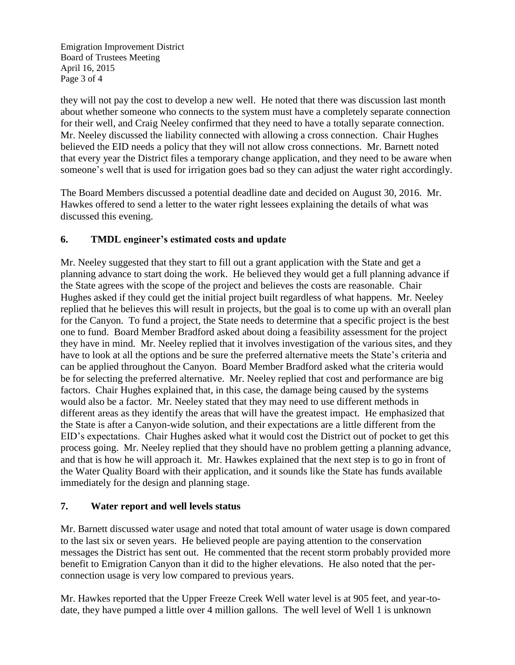Emigration Improvement District Board of Trustees Meeting April 16, 2015 Page 3 of 4

they will not pay the cost to develop a new well. He noted that there was discussion last month about whether someone who connects to the system must have a completely separate connection for their well, and Craig Neeley confirmed that they need to have a totally separate connection. Mr. Neeley discussed the liability connected with allowing a cross connection. Chair Hughes believed the EID needs a policy that they will not allow cross connections. Mr. Barnett noted that every year the District files a temporary change application, and they need to be aware when someone's well that is used for irrigation goes bad so they can adjust the water right accordingly.

The Board Members discussed a potential deadline date and decided on August 30, 2016. Mr. Hawkes offered to send a letter to the water right lessees explaining the details of what was discussed this evening.

# **6. TMDL engineer's estimated costs and update**

Mr. Neeley suggested that they start to fill out a grant application with the State and get a planning advance to start doing the work. He believed they would get a full planning advance if the State agrees with the scope of the project and believes the costs are reasonable. Chair Hughes asked if they could get the initial project built regardless of what happens. Mr. Neeley replied that he believes this will result in projects, but the goal is to come up with an overall plan for the Canyon. To fund a project, the State needs to determine that a specific project is the best one to fund. Board Member Bradford asked about doing a feasibility assessment for the project they have in mind. Mr. Neeley replied that it involves investigation of the various sites, and they have to look at all the options and be sure the preferred alternative meets the State's criteria and can be applied throughout the Canyon. Board Member Bradford asked what the criteria would be for selecting the preferred alternative. Mr. Neeley replied that cost and performance are big factors. Chair Hughes explained that, in this case, the damage being caused by the systems would also be a factor. Mr. Neeley stated that they may need to use different methods in different areas as they identify the areas that will have the greatest impact. He emphasized that the State is after a Canyon-wide solution, and their expectations are a little different from the EID's expectations. Chair Hughes asked what it would cost the District out of pocket to get this process going. Mr. Neeley replied that they should have no problem getting a planning advance, and that is how he will approach it. Mr. Hawkes explained that the next step is to go in front of the Water Quality Board with their application, and it sounds like the State has funds available immediately for the design and planning stage.

### **7. Water report and well levels status**

Mr. Barnett discussed water usage and noted that total amount of water usage is down compared to the last six or seven years. He believed people are paying attention to the conservation messages the District has sent out. He commented that the recent storm probably provided more benefit to Emigration Canyon than it did to the higher elevations. He also noted that the perconnection usage is very low compared to previous years.

Mr. Hawkes reported that the Upper Freeze Creek Well water level is at 905 feet, and year-todate, they have pumped a little over 4 million gallons. The well level of Well 1 is unknown